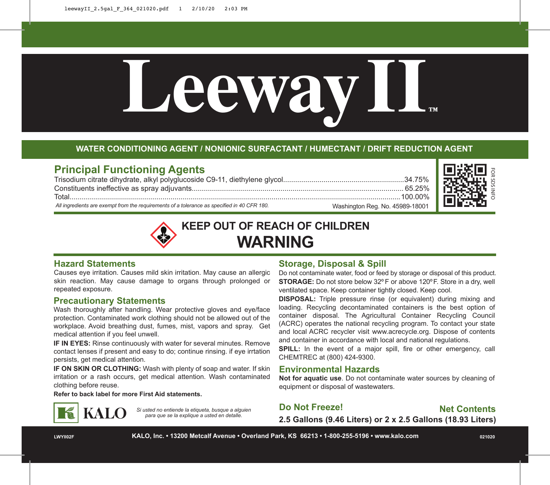

#### **WATER CONDITIONING AGENT / NONIONIC SURFACTANT / HUMECTANT / DRIFT REDUCTION AGENT**

# **Principal Functioning Agents**

Trisodium citrate dihydrate, alkyl polyglucoside C9-11, diethylene glycol............................................................34.75% Constituents ineffective as spray adjuvants......................................................................................................... 65.25% Total....................................................................................................................................................................100.00%

*All ingredients are exempt from the requirements of a tolerance as specified in 40 CFR 180.*



**KEEP OUT OF REACH OF CHILDREN WARNING**

#### **Hazard Statements**

Causes eye irritation. Causes mild skin irritation. May cause an allergic skin reaction. May cause damage to organs through prolonged or repeated exposure.

#### **Precautionary Statements**

Wash thoroughly after handling. Wear protective gloves and eye/face protection. Contaminated work clothing should not be allowed out of the workplace. Avoid breathing dust, fumes, mist, vapors and spray. Get medical attention if you feel unwell.

**IF IN EYES:** Rinse continuously with water for several minutes. Remove contact lenses if present and easy to do; continue rinsing. if eye irrtation persists, get medical attention.

**IF ON SKIN OR CLOTHING:** Wash with plenty of soap and water. If skin irritation or a rash occurs, get medical attention. Wash contaminated clothing before reuse.

**Refer to back label for more First Aid statements.**



*Si usted no entiende la etiqueta, busque a alguien para que se la explique a usted en detalle.*

# **Storage, Disposal & Spill**

Do not contaminate water, food or feed by storage or disposal of this product. **STORAGE:** Do not store below 32º F or above 120ºF. Store in a dry, well ventilated space. Keep container tightly closed. Keep cool.

Washington Reg. No. 45989-18001

**DISPOSAL:** Triple pressure rinse (or equivalent) during mixing and loading. Recycling decontaminated containers is the best option of container disposal. The Agricultural Container Recycling Council (ACRC) operates the national recycling program. To contact your state and local ACRC recycler visit www.acrecycle.org. Dispose of contents and container in accordance with local and national regulations.

**SPILL:** In the event of a major spill, fire or other emergency, call CHEMTREC at (800) 424-9300.

### **Environmental Hazards**

**Not for aquatic use**. Do not contaminate water sources by cleaning of equipment or disposal of wastewaters.

**Do Not Freeze!**

**Net Contents**

**2.5 Gallons (9.46 Liters) or 2 x 2.5 Gallons (18.93 Liters)**

**LWYII02F KALO, Inc. • 13200 Metcalf Avenue • Overland Park, KS 66213 • 1-800-255-5196 • www.kalo.com 021020**